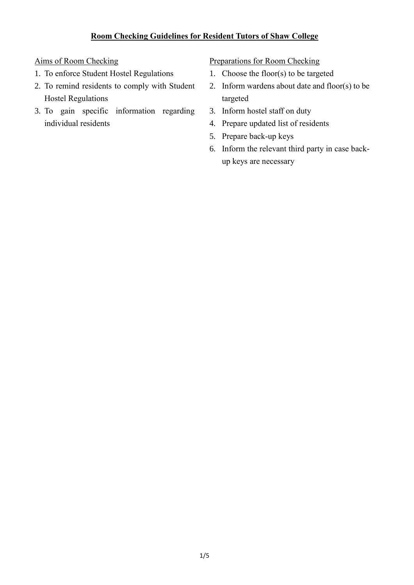# **Room Checking Guidelines for Resident Tutors of Shaw College**

## Aims of Room Checking

- 1. To enforce Student Hostel Regulations
- 2. To remind residents to comply with Student Hostel Regulations
- 3. To gain specific information regarding individual residents

### Preparations for Room Checking

- 1. Choose the floor(s) to be targeted
- 2. Inform wardens about date and floor(s) to be targeted
- 3. Inform hostel staff on duty
- 4. Prepare updated list of residents
- 5. Prepare back-up keys
- 6. Inform the relevant third party in case backup keys are necessary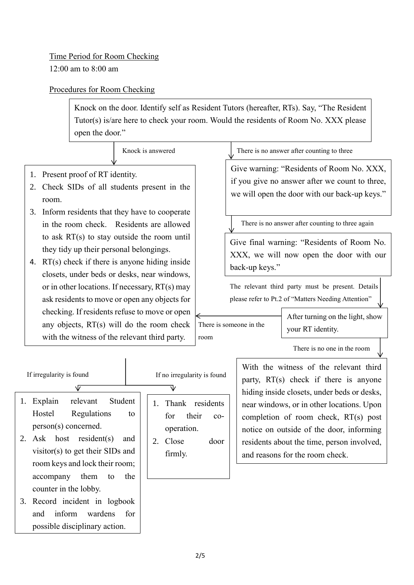# Procedures for Room Checking

Knock on the door. Identify self as Resident Tutors (hereafter, RTs). Say, "The Resident Tutor(s) is/are here to check your room. Would the residents of Room No. XXX please open the door."

Knock is answered

- 1. Present proof of RT identity.
- 2. Check SIDs of all students present in the room.
- 3. Inform residents that they have to cooperate in the room check. Residents are allowed to ask RT(s) to stay outside the room until they tidy up their personal belongings.
- 4. RT(s) check if there is anyone hiding inside closets, under beds or desks, near windows, or in other locations. If necessary, RT(s) may ask residents to move or open any objects for checking. If residents refuse to move or open any objects, RT(s) will do the room check with the witness of the relevant third party.

#### There is no answer after counting to three

Give warning: "Residents of Room No. XXX, if you give no answer after we count to three, we will open the door with our back-up keys."

There is no answer after counting to three again

Give final warning: "Residents of Room No. XXX, we will now open the door with our back-up keys."

The relevant third party must be present. Details please refer to Pt.2 of "Matters Needing Attention"

There is someone in the room

After turning on the light, show your RT identity.

There is no one in the room

If irregularity is found  $\sqrt{2}$ 

- 1. Explain relevant Student Hostel Regulations to person(s) concerned.
- 2. Ask host resident(s) and visitor(s) to get their SIDs and room keys and lock their room; accompany them to the counter in the lobby.
- 3. Record incident in logbook and inform wardens for possible disciplinary action.

1. Thank residents for their cooperation. If no irregularity is found

> 2. Close door firmly.

With the witness of the relevant third party, RT(s) check if there is anyone hiding inside closets, under beds or desks, near windows, or in other locations. Upon completion of room check, RT(s) post notice on outside of the door, informing residents about the time, person involved, and reasons for the room check.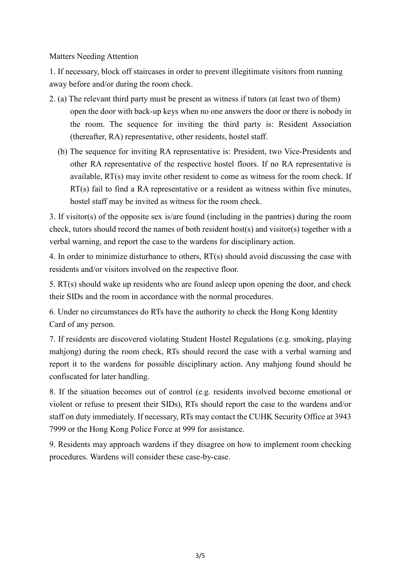Matters Needing Attention

1. If necessary, block off staircases in order to prevent illegitimate visitors from running away before and/or during the room check.

- 2. (a) The relevant third party must be present as witness if tutors (at least two of them) open the door with back-up keys when no one answers the door or there is nobody in the room. The sequence for inviting the third party is: Resident Association (thereafter, RA) representative, other residents, hostel staff.
	- (b) The sequence for inviting RA representative is: President, two Vice-Presidents and other RA representative of the respective hostel floors. If no RA representative is available, RT(s) may invite other resident to come as witness for the room check. If RT(s) fail to find a RA representative or a resident as witness within five minutes, hostel staff may be invited as witness for the room check.

3. If visitor(s) of the opposite sex is/are found (including in the pantries) during the room check, tutors should record the names of both resident host(s) and visitor(s) together with a verbal warning, and report the case to the wardens for disciplinary action.

4. In order to minimize disturbance to others, RT(s) should avoid discussing the case with residents and/or visitors involved on the respective floor.

5. RT(s) should wake up residents who are found asleep upon opening the door, and check their SIDs and the room in accordance with the normal procedures.

6. Under no circumstances do RTs have the authority to check the Hong Kong Identity Card of any person.

7. If residents are discovered violating Student Hostel Regulations (e.g. smoking, playing mahjong) during the room check, RTs should record the case with a verbal warning and report it to the wardens for possible disciplinary action. Any mahjong found should be confiscated for later handling.

8. If the situation becomes out of control (e.g. residents involved become emotional or violent or refuse to present their SIDs), RTs should report the case to the wardens and/or staff on duty immediately. If necessary, RTs may contact the CUHK Security Office at 3943 7999 or the Hong Kong Police Force at 999 for assistance.

9. Residents may approach wardens if they disagree on how to implement room checking procedures. Wardens will consider these case-by-case.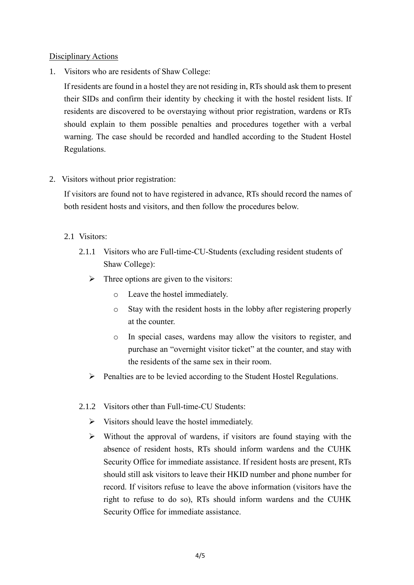## Disciplinary Actions

1. Visitors who are residents of Shaw College:

If residents are found in a hostel they are not residing in, RTs should ask them to present their SIDs and confirm their identity by checking it with the hostel resident lists. If residents are discovered to be overstaying without prior registration, wardens or RTs should explain to them possible penalties and procedures together with a verbal warning. The case should be recorded and handled according to the Student Hostel Regulations.

2. Visitors without prior registration:

If visitors are found not to have registered in advance, RTs should record the names of both resident hosts and visitors, and then follow the procedures below.

- 2.1 Visitors:
	- 2.1.1 Visitors who are Full-time-CU-Students (excluding resident students of Shaw College):
		- $\triangleright$  Three options are given to the visitors:
			- o Leave the hostel immediately.
			- o Stay with the resident hosts in the lobby after registering properly at the counter.
			- o In special cases, wardens may allow the visitors to register, and purchase an "overnight visitor ticket" at the counter, and stay with the residents of the same sex in their room.
		- $\triangleright$  Penalties are to be levied according to the Student Hostel Regulations.
	- 2.1.2 Visitors other than Full-time-CU Students:
		- $\triangleright$  Visitors should leave the hostel immediately.
		- $\triangleright$  Without the approval of wardens, if visitors are found staying with the absence of resident hosts, RTs should inform wardens and the CUHK Security Office for immediate assistance. If resident hosts are present, RTs should still ask visitors to leave their HKID number and phone number for record. If visitors refuse to leave the above information (visitors have the right to refuse to do so), RTs should inform wardens and the CUHK Security Office for immediate assistance.